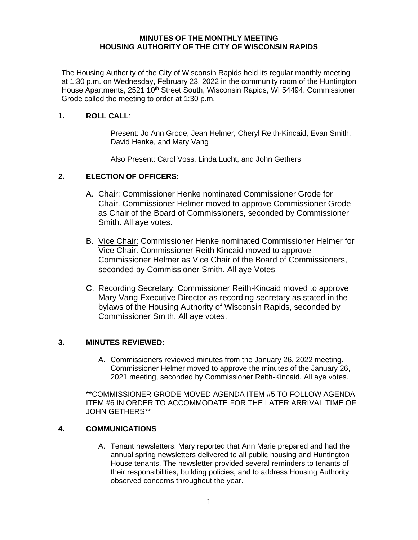### **MINUTES OF THE MONTHLY MEETING HOUSING AUTHORITY OF THE CITY OF WISCONSIN RAPIDS**

The Housing Authority of the City of Wisconsin Rapids held its regular monthly meeting at 1:30 p.m. on Wednesday, February 23, 2022 in the community room of the Huntington House Apartments, 2521 10<sup>th</sup> Street South, Wisconsin Rapids, WI 54494. Commissioner Grode called the meeting to order at 1:30 p.m.

### **1. ROLL CALL**:

Present: Jo Ann Grode, Jean Helmer, Cheryl Reith-Kincaid, Evan Smith, David Henke, and Mary Vang

Also Present: Carol Voss, Linda Lucht, and John Gethers

# **2. ELECTION OF OFFICERS:**

- A. Chair: Commissioner Henke nominated Commissioner Grode for Chair. Commissioner Helmer moved to approve Commissioner Grode as Chair of the Board of Commissioners, seconded by Commissioner Smith. All aye votes.
- B. Vice Chair: Commissioner Henke nominated Commissioner Helmer for Vice Chair. Commissioner Reith Kincaid moved to approve Commissioner Helmer as Vice Chair of the Board of Commissioners, seconded by Commissioner Smith. All aye Votes
- C. Recording Secretary: Commissioner Reith-Kincaid moved to approve Mary Vang Executive Director as recording secretary as stated in the bylaws of the Housing Authority of Wisconsin Rapids, seconded by Commissioner Smith. All aye votes.

# **3. MINUTES REVIEWED:**

A. Commissioners reviewed minutes from the January 26, 2022 meeting. Commissioner Helmer moved to approve the minutes of the January 26, 2021 meeting, seconded by Commissioner Reith-Kincaid. All aye votes.

\*\*COMMISSIONER GRODE MOVED AGENDA ITEM #5 TO FOLLOW AGENDA ITEM #6 IN ORDER TO ACCOMMODATE FOR THE LATER ARRIVAL TIME OF JOHN GETHERS\*\*

### **4. COMMUNICATIONS**

A. Tenant newsletters: Mary reported that Ann Marie prepared and had the annual spring newsletters delivered to all public housing and Huntington House tenants. The newsletter provided several reminders to tenants of their responsibilities, building policies, and to address Housing Authority observed concerns throughout the year.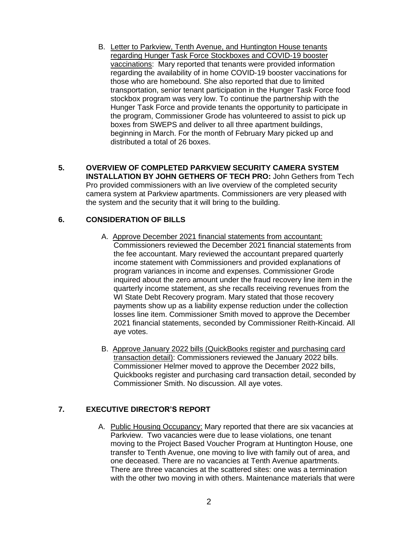- B. Letter to Parkview, Tenth Avenue, and Huntington House tenants regarding Hunger Task Force Stockboxes and COVID-19 booster vaccinations: Mary reported that tenants were provided information regarding the availability of in home COVID-19 booster vaccinations for those who are homebound. She also reported that due to limited transportation, senior tenant participation in the Hunger Task Force food stockbox program was very low. To continue the partnership with the Hunger Task Force and provide tenants the opportunity to participate in the program, Commissioner Grode has volunteered to assist to pick up boxes from SWEPS and deliver to all three apartment buildings, beginning in March. For the month of February Mary picked up and distributed a total of 26 boxes.
- **5. OVERVIEW OF COMPLETED PARKVIEW SECURITY CAMERA SYSTEM INSTALLATION BY JOHN GETHERS OF TECH PRO:** John Gethers from Tech Pro provided commissioners with an live overview of the completed security camera system at Parkview apartments. Commissioners are very pleased with the system and the security that it will bring to the building.

# **6. CONSIDERATION OF BILLS**

- A. Approve December 2021 financial statements from accountant: Commissioners reviewed the December 2021 financial statements from the fee accountant. Mary reviewed the accountant prepared quarterly income statement with Commissioners and provided explanations of program variances in income and expenses. Commissioner Grode inquired about the zero amount under the fraud recovery line item in the quarterly income statement, as she recalls receiving revenues from the WI State Debt Recovery program. Mary stated that those recovery payments show up as a liability expense reduction under the collection losses line item. Commissioner Smith moved to approve the December 2021 financial statements, seconded by Commissioner Reith-Kincaid. All aye votes.
- B. Approve January 2022 bills (QuickBooks register and purchasing card transaction detail): Commissioners reviewed the January 2022 bills. Commissioner Helmer moved to approve the December 2022 bills, Quickbooks register and purchasing card transaction detail, seconded by Commissioner Smith. No discussion. All aye votes.

# **7. EXECUTIVE DIRECTOR'S REPORT**

A. Public Housing Occupancy: Mary reported that there are six vacancies at Parkview. Two vacancies were due to lease violations, one tenant moving to the Project Based Voucher Program at Huntington House, one transfer to Tenth Avenue, one moving to live with family out of area, and one deceased. There are no vacancies at Tenth Avenue apartments. There are three vacancies at the scattered sites: one was a termination with the other two moving in with others. Maintenance materials that were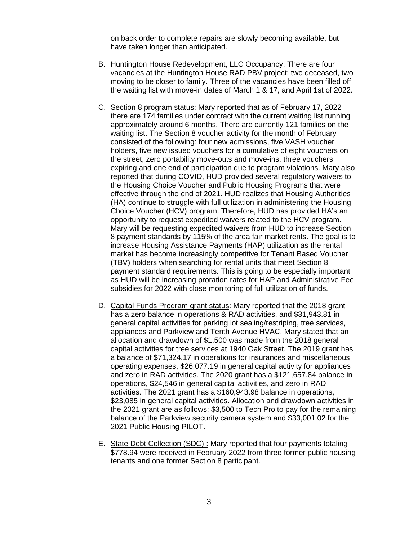on back order to complete repairs are slowly becoming available, but have taken longer than anticipated.

- B. Huntington House Redevelopment, LLC Occupancy: There are four vacancies at the Huntington House RAD PBV project: two deceased, two moving to be closer to family. Three of the vacancies have been filled off the waiting list with move-in dates of March 1 & 17, and April 1st of 2022.
- C. Section 8 program status: Mary reported that as of February 17, 2022 there are 174 families under contract with the current waiting list running approximately around 6 months. There are currently 121 families on the waiting list. The Section 8 voucher activity for the month of February consisted of the following: four new admissions, five VASH voucher holders, five new issued vouchers for a cumulative of eight vouchers on the street, zero portability move-outs and move-ins, three vouchers expiring and one end of participation due to program violations. Mary also reported that during COVID, HUD provided several regulatory waivers to the Housing Choice Voucher and Public Housing Programs that were effective through the end of 2021. HUD realizes that Housing Authorities (HA) continue to struggle with full utilization in administering the Housing Choice Voucher (HCV) program. Therefore, HUD has provided HA's an opportunity to request expedited waivers related to the HCV program. Mary will be requesting expedited waivers from HUD to increase Section 8 payment standards by 115% of the area fair market rents. The goal is to increase Housing Assistance Payments (HAP) utilization as the rental market has become increasingly competitive for Tenant Based Voucher (TBV) holders when searching for rental units that meet Section 8 payment standard requirements. This is going to be especially important as HUD will be increasing proration rates for HAP and Administrative Fee subsidies for 2022 with close monitoring of full utilization of funds.
- D. Capital Funds Program grant status: Mary reported that the 2018 grant has a zero balance in operations & RAD activities, and \$31,943.81 in general capital activities for parking lot sealing/restriping, tree services, appliances and Parkview and Tenth Avenue HVAC. Mary stated that an allocation and drawdown of \$1,500 was made from the 2018 general capital activities for tree services at 1940 Oak Street. The 2019 grant has a balance of \$71,324.17 in operations for insurances and miscellaneous operating expenses, \$26,077.19 in general capital activity for appliances and zero in RAD activities. The 2020 grant has a \$121,657.84 balance in operations, \$24,546 in general capital activities, and zero in RAD activities. The 2021 grant has a \$160,943.98 balance in operations, \$23,085 in general capital activities. Allocation and drawdown activities in the 2021 grant are as follows; \$3,500 to Tech Pro to pay for the remaining balance of the Parkview security camera system and \$33,001.02 for the 2021 Public Housing PILOT.
- E. State Debt Collection (SDC) : Mary reported that four payments totaling \$778.94 were received in February 2022 from three former public housing tenants and one former Section 8 participant.